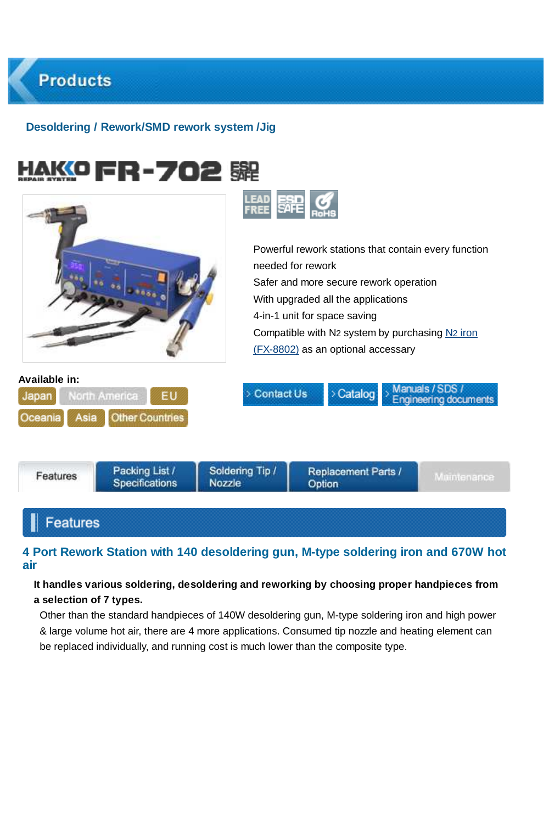### **Desoldering / Rework/SMD rework system /Jig**

|                                                                                            | needed for rework<br>Safer and more secure rework operation<br>With upgraded all the applications<br>4-in-1 unit for space saving<br>(FX-8802) as an optional accessary | Powerful rework stations that contain every function<br>Compatible with N2 system by purchasing N2 iron |
|--------------------------------------------------------------------------------------------|-------------------------------------------------------------------------------------------------------------------------------------------------------------------------|---------------------------------------------------------------------------------------------------------|
| Available in:<br>North America<br>EU<br>Japan<br><b>Other Countries</b><br>Oceania<br>Asia | > Contact Us                                                                                                                                                            | Manuals / SDS /<br>> Catalog<br>Engineering documents                                                   |
| Packing List /<br>Features<br>Specifications<br><b>Nozzle</b>                              | Soldering Tip /<br>Option                                                                                                                                               | Replacement Parts /<br>Maintenance                                                                      |

### Features

### **4 Port Rework Station with 140 desoldering gun, M-type soldering iron and 670W hot air**

### **It handles various soldering, desoldering and reworking by choosing proper handpieces from a selection of 7 types.**

Other than the standard handpieces of 140W desoldering gun, M-type soldering iron and high power & large volume hot air, there are 4 more applications. Consumed tip nozzle and heating element can be replaced individually, and running cost is much lower than the composite type.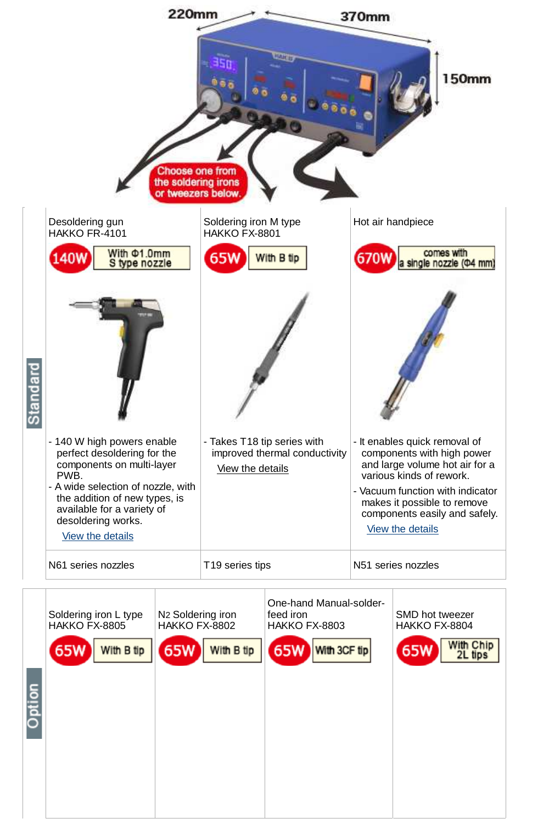

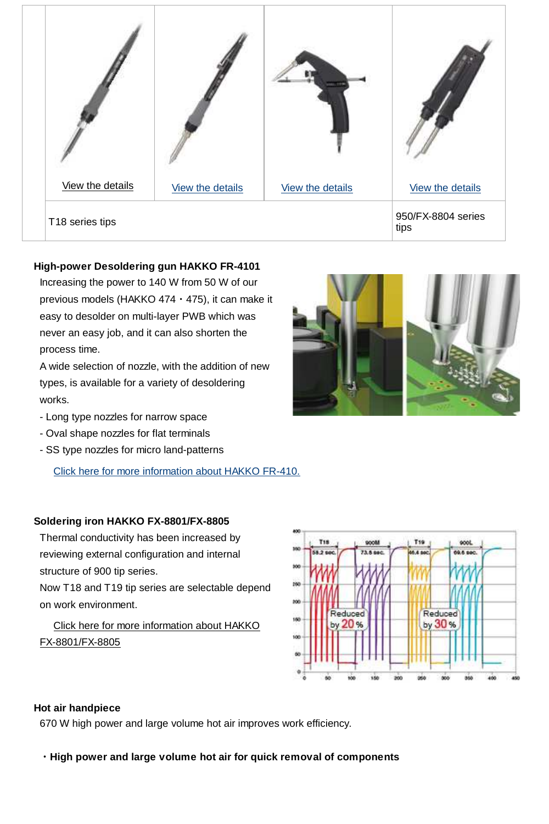

#### **High-power Desoldering gun HAKKO FR-4101**

Increasing the power to 140 W from 50 W of our previous models (HAKKO 474・475), it can make it easy to desolder on multi-layer PWB which was never an easy job, and it can also shorten the process time.

A wide selection of nozzle, with the addition of new types, is available for a variety of desoldering works.

- Long type nozzles for narrow space
- Oval shape nozzles for flat terminals
- SS type nozzles for micro land-patterns

Click here for more information about HAKKO FR-410.

### **Soldering iron HAKKO FX-8801/FX-8805**

Thermal conductivity has been increased by reviewing external configuration and internal structure of 900 tip series.

Now T18 and T19 tip series are selectable depend on work environment.

### Click here for more information about HAKKO FX-8801/FX-8805





### **Hot air handpiece**

670 W high power and large volume hot air improves work efficiency.

**・High power and large volume hot air for quick removal of components**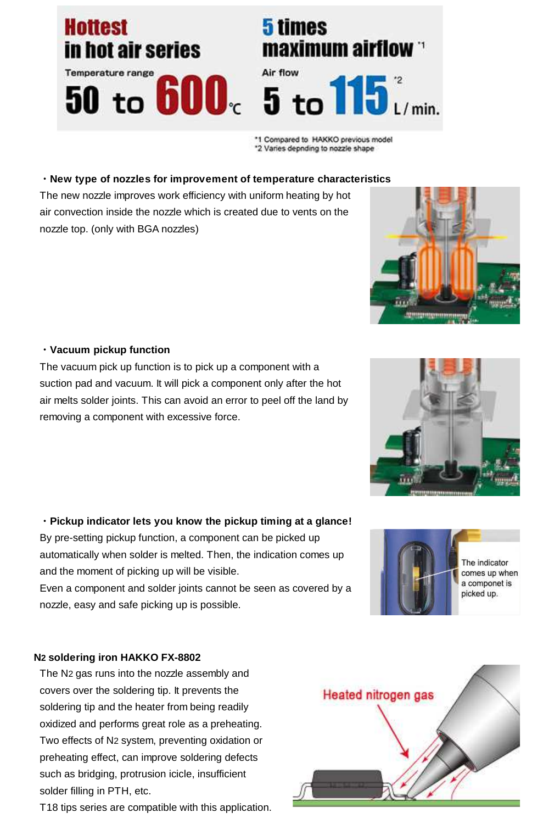## **Hottest** in hot air series

# Temperature range

## 5 times maximum airflow



\*1 Compared to HAKKO previous model \*2 Varies depnding to nozzle shape

### **・New type of nozzles for improvement of temperature characteristics**

The new nozzle improves work efficiency with uniform heating by hot air convection inside the nozzle which is created due to vents on the nozzle top. (only with BGA nozzles)

### **・Vacuum pickup function**

The vacuum pick up function is to pick up a component with a suction pad and vacuum. It will pick a component only after the hot air melts solder joints. This can avoid an error to peel off the land by removing a component with excessive force.

### **・Pickup indicator lets you know the pickup timing at a glance!**

By pre-setting pickup function, a component can be picked up automatically when solder is melted. Then, the indication comes up and the moment of picking up will be visible.

Even a component and solder joints cannot be seen as covered by a nozzle, easy and safe picking up is possible.

### **N2 soldering iron HAKKO FX-8802**

The N<sub>2</sub> gas runs into the nozzle assembly and covers over the soldering tip. It prevents the soldering tip and the heater from being readily oxidized and performs great role as a preheating. Two effects of N2 system, preventing oxidation or preheating effect, can improve soldering defects such as bridging, protrusion icicle, insufficient solder filling in PTH, etc.

T18 tips series are compatible with this application.